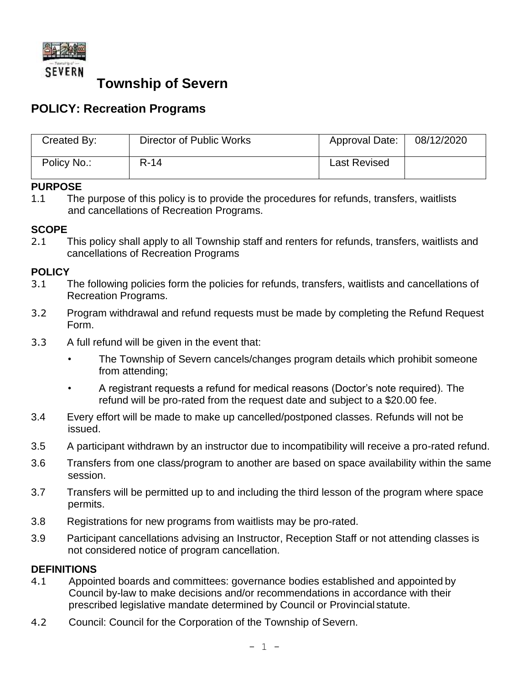

# **Township of Severn**

## **POLICY: Recreation Programs**

| Created By: | Director of Public Works | Approval Date:      | 08/12/2020 |
|-------------|--------------------------|---------------------|------------|
| Policy No.: | $R-14$                   | <b>Last Revised</b> |            |

### **PURPOSE**

1.1 The purpose of this policy is to provide the procedures for refunds, transfers, waitlists and cancellations of Recreation Programs.

#### **SCOPE**

2.1 This policy shall apply to all Township staff and renters for refunds, transfers, waitlists and cancellations of Recreation Programs

#### **POLICY**

- 3.1 The following policies form the policies for refunds, transfers, waitlists and cancellations of Recreation Programs.
- 3.2 Program withdrawal and refund requests must be made by completing the Refund Request Form.
- 3.3 A full refund will be given in the event that:
	- The Township of Severn cancels/changes program details which prohibit someone from attending;
	- A registrant requests a refund for medical reasons (Doctor's note required). The refund will be pro-rated from the request date and subject to a \$20.00 fee.
- 3.4 Every effort will be made to make up cancelled/postponed classes. Refunds will not be issued.
- 3.5 A participant withdrawn by an instructor due to incompatibility will receive a pro-rated refund.
- 3.6 Transfers from one class/program to another are based on space availability within the same session.
- 3.7 Transfers will be permitted up to and including the third lesson of the program where space permits.
- 3.8 Registrations for new programs from waitlists may be pro-rated.
- 3.9 Participant cancellations advising an Instructor, Reception Staff or not attending classes is not considered notice of program cancellation.

#### **DEFINITIONS**

- 4.1 Appointed boards and committees: governance bodies established and appointed by Council by-law to make decisions and/or recommendations in accordance with their prescribed legislative mandate determined by Council or Provincial statute.
- 4.2 Council: Council for the Corporation of the Township of Severn.